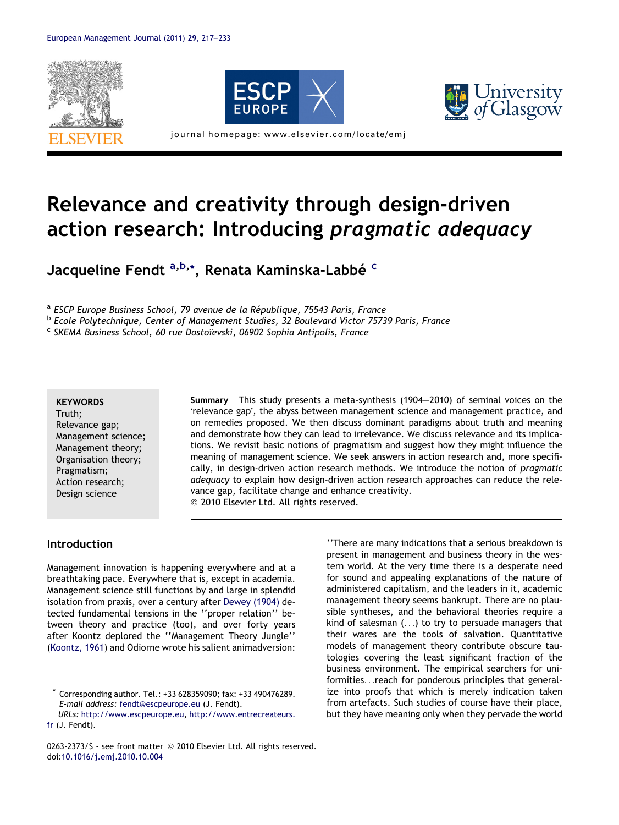



# Relevance and creativity through design-driven action research: Introducing pragmatic adequacy

Jacqueline Fendt <sup>a,b,</sup>\*, Renata Kaminska-Labbé <sup>c</sup>

<sup>a</sup> ESCP Europe Business School, 79 avenue de la République, 75543 Paris, France<br><sup>b</sup> Ecole Polytechnique, Center of Management Studies, 32 Boulevard Victor 75739 Paris, France

 $c$  SKEMA Business School, 60 rue Dostoïevski, 06902 Sophia Antipolis, France

#### **KEYWORDS**

Truth; Relevance gap; Management science; Management theory; Organisation theory; Pragmatism; Action research; Design science

Summary This study presents a meta-synthesis (1904–2010) of seminal voices on the 'relevance gap', the abyss between management science and management practice, and on remedies proposed. We then discuss dominant paradigms about truth and meaning and demonstrate how they can lead to irrelevance. We discuss relevance and its implications. We revisit basic notions of pragmatism and suggest how they might influence the meaning of management science. We seek answers in action research and, more specifically, in design-driven action research methods. We introduce the notion of pragmatic adequacy to explain how design-driven action research approaches can reduce the relevance gap, facilitate change and enhance creativity.  $@$  2010 Elsevier Ltd. All rights reserved.

#### Introduction

Management innovation is happening everywhere and at a breathtaking pace. Everywhere that is, except in academia. Management science still functions by and large in splendid isolation from praxis, over a century after [Dewey \(1904\)](#page--1-0) detected fundamental tensions in the ''proper relation'' between theory and practice (too), and over forty years after Koontz deplored the ''Management Theory Jungle'' ([Koontz, 1961](#page--1-0)) and Odiorne wrote his salient animadversion:

''There are many indications that a serious breakdown is present in management and business theory in the western world. At the very time there is a desperate need for sound and appealing explanations of the nature of administered capitalism, and the leaders in it, academic management theory seems bankrupt. There are no plausible syntheses, and the behavioral theories require a kind of salesman (...) to try to persuade managers that their wares are the tools of salvation. Quantitative models of management theory contribute obscure tautologies covering the least significant fraction of the business environment. The empirical searchers for uniformities...reach for ponderous principles that generalize into proofs that which is merely indication taken from artefacts. Such studies of course have their place, but they have meaning only when they pervade the world

Corresponding author. Tel.: +33 628359090; fax: +33 490476289. E-mail address: [fendt@escpeurope.eu](mailto:fendt@escpeurope.eu) (J. Fendt). URLs: <http://www.escpeurope.eu>, [http://www.entrecreateurs.](http://www.entrecreateurs. fr)

[fr](http://www.entrecreateurs. fr) (J. Fendt).

<sup>0263-2373/\$ -</sup> see front matter © 2010 Elsevier Ltd. All rights reserved. doi[:10.1016/j.emj.2010.10.004](http://dx.doi.org/10.1016/j.emj.2010.10.004)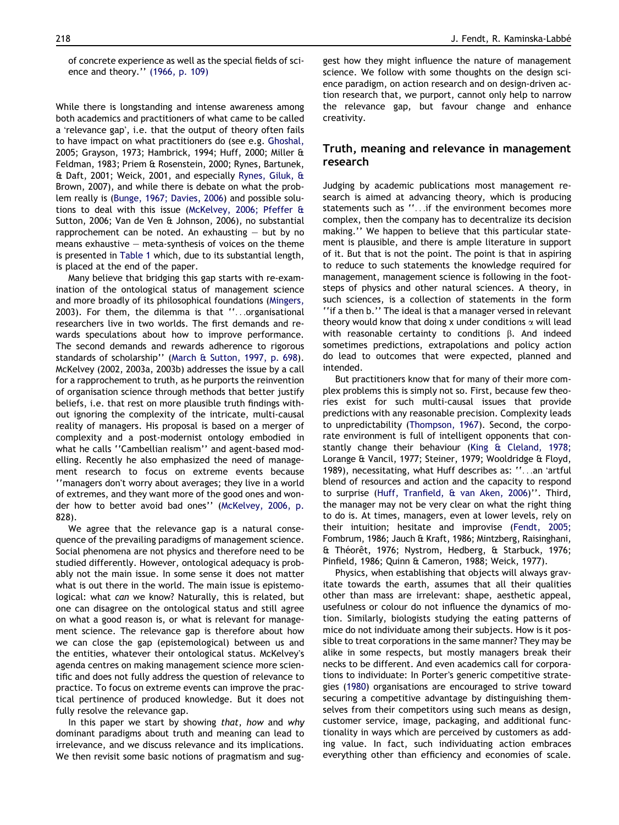of concrete experience as well as the special fields of science and theory.'' [\(1966, p. 109\)](#page--1-0)

While there is longstanding and intense awareness among both academics and practitioners of what came to be called a 'relevance gap', i.e. that the output of theory often fails to have impact on what practitioners do (see e.g. [Ghoshal,](#page--1-0) [2005; Grayson, 1973; Hambrick, 1994; Huff, 2000; Miller &](#page--1-0) [Feldman, 1983; Priem & Rosenstein, 2000; Rynes, Bartunek,](#page--1-0) [& Daft, 2001; Weick, 2001](#page--1-0), and especially [Rynes, Giluk, &](#page--1-0) [Brown, 2007\)](#page--1-0), and while there is debate on what the problem really is ([Bunge, 1967; Davies, 2006](#page--1-0)) and possible solutions to deal with this issue ([McKelvey, 2006; Pfeffer &](#page--1-0) [Sutton, 2006; Van de Ven & Johnson, 2006\)](#page--1-0), no substantial rapprochement can be noted. An exhausting  $-$  but by no means exhaustive – meta-synthesis of voices on the theme is presented in [Table 1](#page--1-0) which, due to its substantial length, is placed at the end of the paper.

Many believe that bridging this gap starts with re-examination of the ontological status of management science and more broadly of its philosophical foundations [\(Mingers,](#page--1-0) [2003](#page--1-0)). For them, the dilemma is that ''...organisational researchers live in two worlds. The first demands and rewards speculations about how to improve performance. The second demands and rewards adherence to rigorous standards of scholarship'' [\(March & Sutton, 1997, p. 698](#page--1-0)). [McKelvey \(2002, 2003a, 2003b\)](#page--1-0) addresses the issue by a call for a rapprochement to truth, as he purports the reinvention of organisation science through methods that better justify beliefs, i.e. that rest on more plausible truth findings without ignoring the complexity of the intricate, multi-causal reality of managers. His proposal is based on a merger of complexity and a post-modernist ontology embodied in what he calls ''Cambellian realism'' and agent-based modelling. Recently he also emphasized the need of management research to focus on extreme events because "managers don't worry about averages; they live in a world of extremes, and they want more of the good ones and wonder how to better avoid bad ones'' [\(McKelvey, 2006, p.](#page--1-0) [828\)](#page--1-0).

We agree that the relevance gap is a natural consequence of the prevailing paradigms of management science. Social phenomena are not physics and therefore need to be studied differently. However, ontological adequacy is probably not the main issue. In some sense it does not matter what is out there in the world. The main issue is epistemological: what can we know? Naturally, this is related, but one can disagree on the ontological status and still agree on what a good reason is, or what is relevant for management science. The relevance gap is therefore about how we can close the gap (epistemological) between us and the entities, whatever their ontological status. McKelvey's agenda centres on making management science more scientific and does not fully address the question of relevance to practice. To focus on extreme events can improve the practical pertinence of produced knowledge. But it does not fully resolve the relevance gap.

In this paper we start by showing that, how and why dominant paradigms about truth and meaning can lead to irrelevance, and we discuss relevance and its implications. We then revisit some basic notions of pragmatism and sug-

gest how they might influence the nature of management science. We follow with some thoughts on the design science paradigm, on action research and on design-driven action research that, we purport, cannot only help to narrow the relevance gap, but favour change and enhance creativity.

### Truth, meaning and relevance in management research

Judging by academic publications most management research is aimed at advancing theory, which is producing statements such as ''...if the environment becomes more complex, then the company has to decentralize its decision making.'' We happen to believe that this particular statement is plausible, and there is ample literature in support of it. But that is not the point. The point is that in aspiring to reduce to such statements the knowledge required for management, management science is following in the footsteps of physics and other natural sciences. A theory, in such sciences, is a collection of statements in the form ''if a then b.'' The ideal is that a manager versed in relevant theory would know that doing x under conditions  $\alpha$  will lead with reasonable certainty to conditions  $\beta$ . And indeed sometimes predictions, extrapolations and policy action do lead to outcomes that were expected, planned and intended.

But practitioners know that for many of their more complex problems this is simply not so. First, because few theories exist for such multi-causal issues that provide predictions with any reasonable precision. Complexity leads to unpredictability [\(Thompson, 1967\)](#page--1-0). Second, the corporate environment is full of intelligent opponents that constantly change their behaviour ([King & Cleland, 1978;](#page--1-0) [Lorange & Vancil, 1977; Steiner, 1979; Wooldridge & Floyd,](#page--1-0) [1989](#page--1-0)), necessitating, what Huff describes as: ''...an 'artful blend of resources and action and the capacity to respond to surprise [\(Huff, Tranfield, & van Aken, 2006\)](#page--1-0)''. Third, the manager may not be very clear on what the right thing to do is. At times, managers, even at lower levels, rely on their intuition; hesitate and improvise [\(Fendt, 2005;](#page--1-0) [Fombrum, 1986; Jauch & Kraft, 1986; Mintzberg, Raisinghani,](#page--1-0) & Théorêt, 1976; Nystrom, Hedberg, & Starbuck, 1976; [Pinfield, 1986; Quinn & Cameron, 1988; Weick, 1977](#page--1-0)).

Physics, when establishing that objects will always gravitate towards the earth, assumes that all their qualities other than mass are irrelevant: shape, aesthetic appeal, usefulness or colour do not influence the dynamics of motion. Similarly, biologists studying the eating patterns of mice do not individuate among their subjects. How is it possible to treat corporations in the same manner? They may be alike in some respects, but mostly managers break their necks to be different. And even academics call for corporations to individuate: In Porter's generic competitive strategies ([1980](#page--1-0)) organisations are encouraged to strive toward securing a competitive advantage by distinguishing themselves from their competitors using such means as design, customer service, image, packaging, and additional functionality in ways which are perceived by customers as adding value. In fact, such individuating action embraces everything other than efficiency and economies of scale.